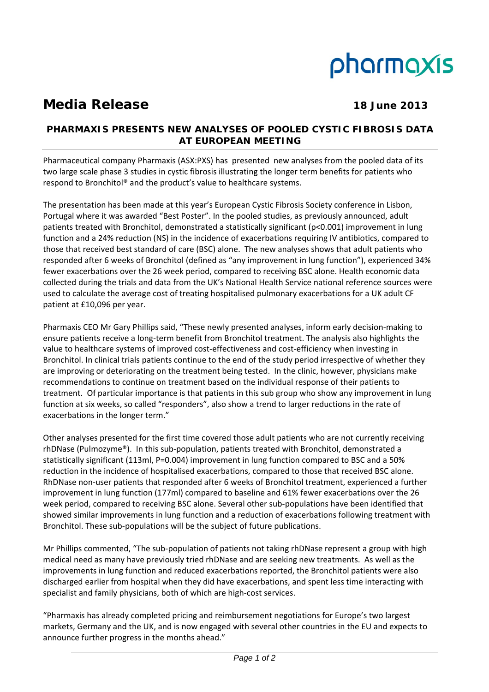# pharmaxis

## **Media Release 18 June 2013**

### **PHARMAXIS PRESENTS NEW ANALYSES OF POOLED CYSTIC FIBROSIS DATA AT EUROPEAN MEETING**

Pharmaceutical company Pharmaxis (ASX:PXS) has presented new analyses from the pooled data of its two large scale phase 3 studies in cystic fibrosis illustrating the longer term benefits for patients who respond to Bronchitol® and the product's value to healthcare systems.

The presentation has been made at this year's European Cystic Fibrosis Society conference in Lisbon, Portugal where it was awarded "Best Poster". In the pooled studies, as previously announced, adult patients treated with Bronchitol, demonstrated a statistically significant (p<0.001) improvement in lung function and a 24% reduction (NS) in the incidence of exacerbations requiring IV antibiotics, compared to those that received best standard of care (BSC) alone. The new analyses shows that adult patients who responded after 6 weeks of Bronchitol (defined as "any improvement in lung function"), experienced 34% fewer exacerbations over the 26 week period, compared to receiving BSC alone. Health economic data collected during the trials and data from the UK's National Health Service national reference sources were used to calculate the average cost of treating hospitalised pulmonary exacerbations for a UK adult CF patient at £10,096 per year.

Pharmaxis CEO Mr Gary Phillips said, "These newly presented analyses, inform early decision‐making to ensure patients receive a long‐term benefit from Bronchitol treatment. The analysis also highlights the value to healthcare systems of improved cost-effectiveness and cost-efficiency when investing in Bronchitol. In clinical trials patients continue to the end of the study period irrespective of whether they are improving or deteriorating on the treatment being tested. In the clinic, however, physicians make recommendations to continue on treatment based on the individual response of their patients to treatment. Of particular importance is that patients in this sub group who show any improvement in lung function at six weeks, so called "responders", also show a trend to larger reductions in the rate of exacerbations in the longer term."

Other analyses presented for the first time covered those adult patients who are not currently receiving rhDNase (Pulmozyme®). In this sub‐population, patients treated with Bronchitol, demonstrated a statistically significant (113ml, P=0.004) improvement in lung function compared to BSC and a 50% reduction in the incidence of hospitalised exacerbations, compared to those that received BSC alone. RhDNase non‐user patients that responded after 6 weeks of Bronchitol treatment, experienced a further improvement in lung function (177ml) compared to baseline and 61% fewer exacerbations over the 26 week period, compared to receiving BSC alone. Several other sub‐populations have been identified that showed similar improvements in lung function and a reduction of exacerbations following treatment with Bronchitol. These sub‐populations will be the subject of future publications.

Mr Phillips commented, "The sub‐population of patients not taking rhDNase represent a group with high medical need as many have previously tried rhDNase and are seeking new treatments. As well as the improvements in lung function and reduced exacerbations reported, the Bronchitol patients were also discharged earlier from hospital when they did have exacerbations, and spent less time interacting with specialist and family physicians, both of which are high-cost services.

"Pharmaxis has already completed pricing and reimbursement negotiations for Europe's two largest markets, Germany and the UK, and is now engaged with several other countries in the EU and expects to announce further progress in the months ahead."